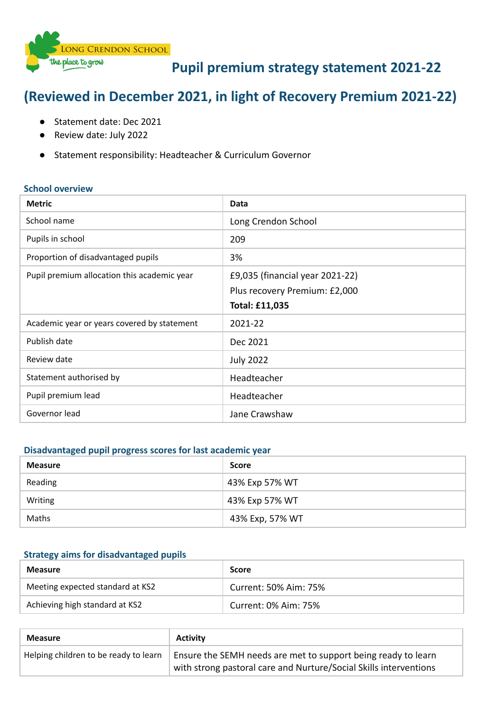

# **Pupil premium strategy statement 2021-22**

# **(Reviewed in December 2021, in light of Recovery Premium 2021-22)**

- Statement date: Dec 2021
- Review date: July 2022
- Statement responsibility: Headteacher & Curriculum Governor

#### **School overview**

| <b>Metric</b>                               | Data                                                                               |
|---------------------------------------------|------------------------------------------------------------------------------------|
| School name                                 | Long Crendon School                                                                |
| Pupils in school                            | 209                                                                                |
| Proportion of disadvantaged pupils          | 3%                                                                                 |
| Pupil premium allocation this academic year | £9,035 (financial year 2021-22)<br>Plus recovery Premium: £2,000<br>Total: £11,035 |
| Academic year or years covered by statement | $2021 - 22$                                                                        |
| Publish date                                | Dec 2021                                                                           |
| Review date                                 | <b>July 2022</b>                                                                   |
| Statement authorised by                     | Headteacher                                                                        |
| Pupil premium lead                          | Headteacher                                                                        |
| Governor lead                               | Jane Crawshaw                                                                      |

### **Disadvantaged pupil progress scores for last academic year**

| <b>Measure</b> | <b>Score</b>    |
|----------------|-----------------|
| Reading        | 43% Exp 57% WT  |
| Writing        | 43% Exp 57% WT  |
| Maths          | 43% Exp, 57% WT |

#### **Strategy aims for disadvantaged pupils**

| <b>Measure</b>                   | <b>Score</b>          |
|----------------------------------|-----------------------|
| Meeting expected standard at KS2 | Current: 50% Aim: 75% |
| Achieving high standard at KS2   | Current: 0% Aim: 75%  |

| <b>Measure</b>                        | Activity                                                                                                                           |
|---------------------------------------|------------------------------------------------------------------------------------------------------------------------------------|
| Helping children to be ready to learn | Ensure the SEMH needs are met to support being ready to learn<br>with strong pastoral care and Nurture/Social Skills interventions |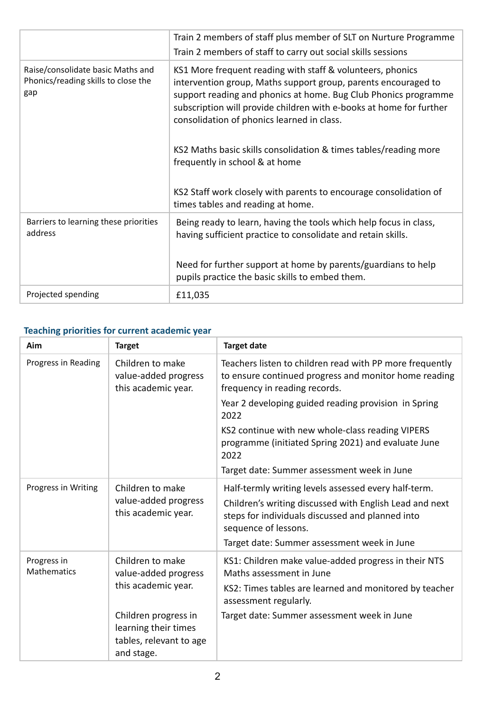|                                                                                 | Train 2 members of staff plus member of SLT on Nurture Programme<br>Train 2 members of staff to carry out social skills sessions                                                                                                                                                                                                                                                                                                                                                                                                     |
|---------------------------------------------------------------------------------|--------------------------------------------------------------------------------------------------------------------------------------------------------------------------------------------------------------------------------------------------------------------------------------------------------------------------------------------------------------------------------------------------------------------------------------------------------------------------------------------------------------------------------------|
| Raise/consolidate basic Maths and<br>Phonics/reading skills to close the<br>gap | KS1 More frequent reading with staff & volunteers, phonics<br>intervention group, Maths support group, parents encouraged to<br>support reading and phonics at home. Bug Club Phonics programme<br>subscription will provide children with e-books at home for further<br>consolidation of phonics learned in class.<br>KS2 Maths basic skills consolidation & times tables/reading more<br>frequently in school & at home<br>KS2 Staff work closely with parents to encourage consolidation of<br>times tables and reading at home. |
| Barriers to learning these priorities<br>address                                | Being ready to learn, having the tools which help focus in class,<br>having sufficient practice to consolidate and retain skills.                                                                                                                                                                                                                                                                                                                                                                                                    |
|                                                                                 | Need for further support at home by parents/guardians to help<br>pupils practice the basic skills to embed them.                                                                                                                                                                                                                                                                                                                                                                                                                     |
| Projected spending                                                              | £11,035                                                                                                                                                                                                                                                                                                                                                                                                                                                                                                                              |

## **Teaching priorities for current academic year**

| Aim                                                                                    | <b>Target</b>                                                                                                                                      | <b>Target date</b>                                                                                                                                                                                                                         |
|----------------------------------------------------------------------------------------|----------------------------------------------------------------------------------------------------------------------------------------------------|--------------------------------------------------------------------------------------------------------------------------------------------------------------------------------------------------------------------------------------------|
| Progress in Reading<br>Children to make<br>value-added progress<br>this academic year. | Teachers listen to children read with PP more frequently<br>to ensure continued progress and monitor home reading<br>frequency in reading records. |                                                                                                                                                                                                                                            |
|                                                                                        |                                                                                                                                                    | Year 2 developing guided reading provision in Spring<br>2022                                                                                                                                                                               |
|                                                                                        |                                                                                                                                                    | KS2 continue with new whole-class reading VIPERS<br>programme (initiated Spring 2021) and evaluate June<br>2022                                                                                                                            |
|                                                                                        |                                                                                                                                                    | Target date: Summer assessment week in June                                                                                                                                                                                                |
| Progress in Writing                                                                    | Children to make<br>value-added progress<br>this academic year.                                                                                    | Half-termly writing levels assessed every half-term.<br>Children's writing discussed with English Lead and next<br>steps for individuals discussed and planned into<br>sequence of lessons.<br>Target date: Summer assessment week in June |
| Progress in<br><b>Mathematics</b>                                                      | Children to make<br>value-added progress<br>this academic year.                                                                                    | KS1: Children make value-added progress in their NTS<br>Maths assessment in June<br>KS2: Times tables are learned and monitored by teacher<br>assessment regularly.                                                                        |
|                                                                                        | Children progress in<br>learning their times<br>tables, relevant to age<br>and stage.                                                              | Target date: Summer assessment week in June                                                                                                                                                                                                |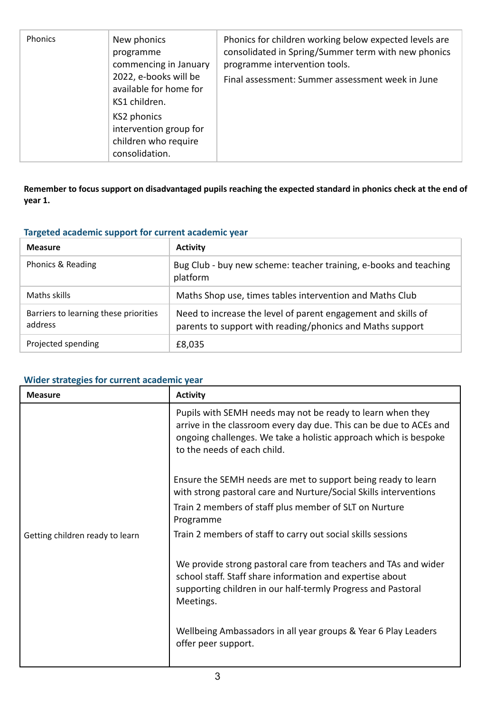| <b>Phonics</b> | New phonics<br>programme<br>commencing in January<br>2022, e-books will be<br>available for home for<br>KS1 children.<br>KS2 phonics<br>intervention group for<br>children who require<br>consolidation. | Phonics for children working below expected levels are<br>consolidated in Spring/Summer term with new phonics<br>programme intervention tools.<br>Final assessment: Summer assessment week in June |
|----------------|----------------------------------------------------------------------------------------------------------------------------------------------------------------------------------------------------------|----------------------------------------------------------------------------------------------------------------------------------------------------------------------------------------------------|
|----------------|----------------------------------------------------------------------------------------------------------------------------------------------------------------------------------------------------------|----------------------------------------------------------------------------------------------------------------------------------------------------------------------------------------------------|

Remember to focus support on disadvantaged pupils reaching the expected standard in phonics check at the end of **year 1.**

### **Targeted academic support for current academic year**

| <b>Measure</b>                                   | <b>Activity</b>                                                                                                            |
|--------------------------------------------------|----------------------------------------------------------------------------------------------------------------------------|
| Phonics & Reading                                | Bug Club - buy new scheme: teacher training, e-books and teaching<br>platform                                              |
| Maths skills                                     | Maths Shop use, times tables intervention and Maths Club                                                                   |
| Barriers to learning these priorities<br>address | Need to increase the level of parent engagement and skills of<br>parents to support with reading/phonics and Maths support |
| Projected spending                               | £8,035                                                                                                                     |

### **Wider strategies for current academic year**

| <b>Measure</b>                  | <b>Activity</b>                                                                                                                                                                                                                     |
|---------------------------------|-------------------------------------------------------------------------------------------------------------------------------------------------------------------------------------------------------------------------------------|
|                                 | Pupils with SEMH needs may not be ready to learn when they<br>arrive in the classroom every day due. This can be due to ACEs and<br>ongoing challenges. We take a holistic approach which is bespoke<br>to the needs of each child. |
|                                 | Ensure the SEMH needs are met to support being ready to learn<br>with strong pastoral care and Nurture/Social Skills interventions                                                                                                  |
|                                 | Train 2 members of staff plus member of SLT on Nurture<br>Programme                                                                                                                                                                 |
| Getting children ready to learn | Train 2 members of staff to carry out social skills sessions                                                                                                                                                                        |
|                                 | We provide strong pastoral care from teachers and TAs and wider<br>school staff. Staff share information and expertise about<br>supporting children in our half-termly Progress and Pastoral<br>Meetings.                           |
|                                 | Wellbeing Ambassadors in all year groups & Year 6 Play Leaders<br>offer peer support.                                                                                                                                               |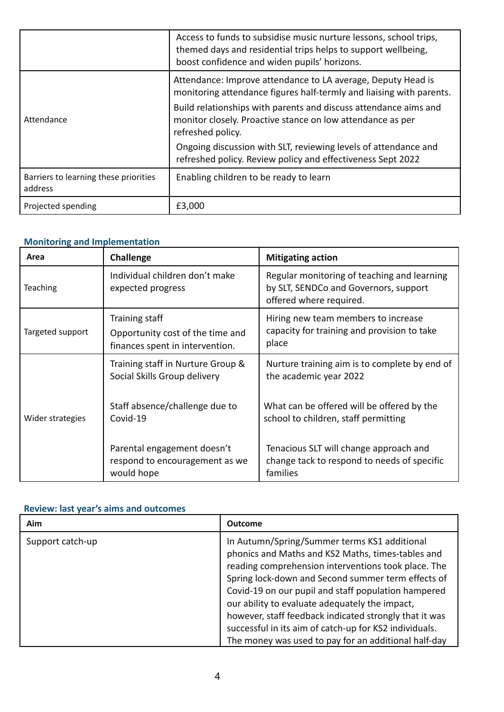|                                                  | Access to funds to subsidise music nurture lessons, school trips,<br>themed days and residential trips helps to support wellbeing,<br>boost confidence and widen pupils' horizons. |
|--------------------------------------------------|------------------------------------------------------------------------------------------------------------------------------------------------------------------------------------|
|                                                  | Attendance: Improve attendance to LA average, Deputy Head is<br>monitoring attendance figures half-termly and liaising with parents.                                               |
| Attendance                                       | Build relationships with parents and discuss attendance aims and<br>monitor closely. Proactive stance on low attendance as per<br>refreshed policy.                                |
|                                                  | Ongoing discussion with SLT, reviewing levels of attendance and<br>refreshed policy. Review policy and effectiveness Sept 2022                                                     |
| Barriers to learning these priorities<br>address | Enabling children to be ready to learn                                                                                                                                             |
| Projected spending                               | £3,000                                                                                                                                                                             |

## **Monitoring and Implementation**

| Area             | <b>Challenge</b>                                                                      | <b>Mitigating action</b>                                                                                        |
|------------------|---------------------------------------------------------------------------------------|-----------------------------------------------------------------------------------------------------------------|
| <b>Teaching</b>  | Individual children don't make<br>expected progress                                   | Regular monitoring of teaching and learning<br>by SLT, SENDCo and Governors, support<br>offered where required. |
| Targeted support | Training staff<br>Opportunity cost of the time and<br>finances spent in intervention. | Hiring new team members to increase<br>capacity for training and provision to take<br>place                     |
|                  | Training staff in Nurture Group &<br>Social Skills Group delivery                     | Nurture training aim is to complete by end of<br>the academic year 2022                                         |
| Wider strategies | Staff absence/challenge due to<br>Covid-19                                            | What can be offered will be offered by the<br>school to children, staff permitting                              |
|                  | Parental engagement doesn't<br>respond to encouragement as we<br>would hope           | Tenacious SLT will change approach and<br>change tack to respond to needs of specific<br>families               |

### **Review: last year's aims and outcomes**

| Aim              | <b>Outcome</b>                                                                                                                                                                                                                                                                                                                                                                                                                                                                                      |
|------------------|-----------------------------------------------------------------------------------------------------------------------------------------------------------------------------------------------------------------------------------------------------------------------------------------------------------------------------------------------------------------------------------------------------------------------------------------------------------------------------------------------------|
| Support catch-up | In Autumn/Spring/Summer terms KS1 additional<br>phonics and Maths and KS2 Maths, times-tables and<br>reading comprehension interventions took place. The<br>Spring lock-down and Second summer term effects of<br>Covid-19 on our pupil and staff population hampered<br>our ability to evaluate adequately the impact,<br>however, staff feedback indicated strongly that it was<br>successful in its aim of catch-up for KS2 individuals.<br>The money was used to pay for an additional half-day |